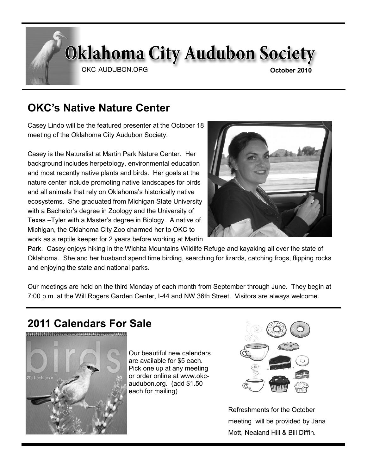# **Oklahoma City Audubon Society**

OKC-AUDUBON.ORG

# **OKC's Native Nature Center**

Casey Lindo will be the featured presenter at the October 18 meeting of the Oklahoma City Audubon Society.

Casey is the Naturalist at Martin Park Nature Center. Her background includes herpetology, environmental education and most recently native plants and birds. Her goals at the nature center include promoting native landscapes for birds and all animals that rely on Oklahoma's historically native ecosystems. She graduated from Michigan State University with a Bachelor's degree in Zoology and the University of Texas –Tyler with a Master's degree in Biology. A native of Michigan, the Oklahoma City Zoo charmed her to OKC to work as a reptile keeper for 2 years before working at Martin



Park. Casey enjoys hiking in the Wichita Mountains Wildlife Refuge and kayaking all over the state of Oklahoma. She and her husband spend time birding, searching for lizards, catching frogs, flipping rocks and enjoying the state and national parks.

Our meetings are held on the third Monday of each month from September through June. They begin at 7:00 p.m. at the Will Rogers Garden Center, I-44 and NW 36th Street. Visitors are always welcome.

# **2011 Calendars For Sale**



Our beautiful new calendars are available for \$5 each. Pick one up at any meeting or order online at www.okcaudubon.org. (add \$1.50 each for mailing)



Refreshments for the October meeting will be provided by Jana Mott, Nealand Hill & Bill Diffin.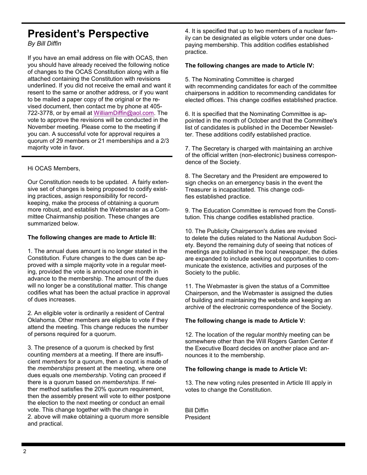### **President's Perspective**

*By Bill Diffin*

If you have an email address on file with OCAS, then you should have already received the following notice of changes to the OCAS Constitution along with a file attached containing the Constitution with revisions underlined. If you did not receive the email and want it resent to the same or another address, or if you want to be mailed a paper copy of the original or the revised document, then contact me by phone at 405- 722-3778, or by email at [WilliamDiffin@aol.com.](mailto:WilliamDiffin@aol.com) The vote to approve the revisions will be conducted in the November meeting. Please come to the meeting if you can. A successful vote for approval requires a quorum of 29 members or 21 memberships and a 2/3 majority vote in favor.

### Hi OCAS Members,

Our Constitution needs to be updated. A fairly extensive set of changes is being proposed to codify existing practices, assign responsibility for recordkeeping, make the process of obtaining a quorum more robust, and establish the Webmaster as a Committee Chairmanship position. These changes are summarized below.

### **The following changes are made to Article III:**

1. The annual dues amount is no longer stated in the Constitution. Future changes to the dues can be approved with a simple majority vote in a regular meeting, provided the vote is announced one month in advance to the membership. The amount of the dues will no longer be a constitutional matter. This change codifies what has been the actual practice in approval of dues increases.

2. An eligible voter is ordinarily a resident of Central Oklahoma. Other members are eligible to vote if they attend the meeting. This change reduces the number of persons required for a quorum.

3. The presence of a quorum is checked by first counting *members* at a meeting. If there are insufficient *members* for a quorum, then a count is made of the *memberships* present at the meeting, where one dues equals one *membership*. Voting can proceed if there is a quorum based on *memberships*. If neither method satisfies the 20% quorum requirement, then the assembly present will vote to either postpone the election to the next meeting or conduct an email vote. This change together with the change in 2. above will make obtaining a quorum more sensible and practical.

4. It is specified that up to two members of a nuclear family can be designated as eligible voters under one duespaying membership. This addition codifies established practice.

### **The following changes are made to Article IV:**

5. The Nominating Committee is charged with recommending candidates for each of the committee chairpersons in addition to recommending candidates for elected offices. This change codifies established practice.

6. It is specified that the Nominating Committee is appointed in the month of October and that the Committee's list of candidates is published in the December Newsletter. These additions codify established practice.

7. The Secretary is charged with maintaining an archive of the official written (non-electronic) business correspondence of the Society.

8. The Secretary and the President are empowered to sign checks on an emergency basis in the event the Treasurer is incapacitated. This change codifies established practice.

9. The Education Committee is removed from the Constitution. This change codifies established practice.

10. The Publicity Chairperson's duties are revised to delete the duties related to the National Audubon Society. Beyond the remaining duty of seeing that notices of meetings are published in the local newspaper, the duties are expanded to include seeking out opportunities to communicate the existence, activities and purposes of the Society to the public.

11. The Webmaster is given the status of a Committee Chairperson, and the Webmaster is assigned the duties of building and maintaining the website and keeping an archive of the electronic correspondence of the Society.

### **The following change is made to Article V:**

12. The location of the regular monthly meeting can be somewhere other than the Will Rogers Garden Center if the Executive Board decides on another place and announces it to the membership.

### **The following change is made to Article VI:**

13. The new voting rules presented in Article III apply in votes to change the Constitution.

Bill Diffin President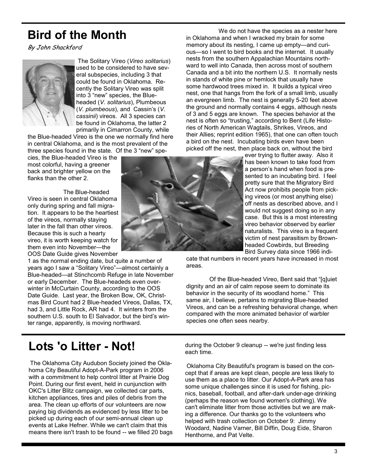# **Bird of the Month**

By John Shackford



The Solitary Vireo (*Vireo solitarius*) used to be considered to have several subspecies, including 3 that could be found in Oklahoma. Recently the Solitary Vireo was split into 3 "new" species, the Blueheaded (*V. solitarius*), Plumbeous (*V. plumbeous*), and Cassin's (*V. cassinii*) vireos. All 3 species can be found in Oklahoma, the latter 2 primarily in Cimarron County, while

the Blue-headed Vireo is the one we normally find here in central Oklahoma, and is the most prevalent of the three species found in the state. Of the 3 "new" spe-

cies, the Blue-headed Vireo is the most colorful, having a greener back and brighter yellow on the flanks than the other 2.

 The Blue-headed Vireo is seen in central Oklahoma only during spring and fall migration. It appears to be the heartiest of the vireos, normally staying later in the fall than other vireos. Because this is such a hearty vireo, it is worth keeping watch for them even into November—the OOS Date Guide gives November

1 as the normal ending date, but quite a number of years ago I saw a "Solitary Vireo"—almost certainly a Blue-headed—at Stinchcomb Refuge in late November or early December. The Blue-headeds even overwinter in McCurtain County, according to the OOS Date Guide. Last year, the Broken Bow, OK, Christmas Bird Count had 2 Blue-headed Vireos, Dallas, TX, had 3, and Little Rock, AR had 4. It winters from the southern U.S. south to El Salvador, but the bird's winter range, apparently, is moving northward.

**Lots 'o Litter - Not!**

The Oklahoma City Audubon Society joined the Oklahoma City Beautiful Adopt-A-Park program in 2006 with a commitment to help control litter at Prairie Dog Point. During our first event, held in cunjunction with OKC's Litter Blitz campaign, we collected car parts, kitchen appliances, tires and piles of debris from the area. The clean up efforts of our volunteers are now paying big dividends as evidenced by less litter to be picked up during each of our semi-annual clean up events at Lake Hefner. While we can't claim that this means there isn't trash to be found -- we filled 20 bags



We do not have the species as a nester here in Oklahoma and when I wracked my brain for some memory about its nesting, I came up empty—and curious—so I went to bird books and the internet. It usually nests from the southern Appalachian Mountains northward to well into Canada, then across most of southern Canada and a bit into the northern U.S. It normally nests in stands of white pine or hemlock that usually have some hardwood trees mixed in. It builds a typical vireo nest, one that hangs from the fork of a small limb, usually an evergreen limb. The nest is generally 5-20 feet above the ground and normally contains 4 eggs, although nests of 3 and 5 eggs are known. The species behavior at the nest is often so "trusting," according to Bent (Life Histories of North American Wagtails, Shrikes, Vireos, and their Allies; reprint edition 1965), that one can often touch a bird on the nest. Incubating birds even have been picked off the nest, then place back on, without the bird

ever trying to flutter away. Also it has been known to take food from a person's hand when food is presented to an incubating bird. I feel pretty sure that the Migratory Bird Act now prohibits people from picking vireos (or most anything else) off nests as described above, and I would not suggest doing so in any case. But this is a most interesting vireo behavior observed by earlier naturalists. This vireo is a frequent victim of nest parasitism by Brownheaded Cowbirds, but Breeding Bird Survey data since 1966 indi-

cate that numbers in recent years have increased in most areas.

Of the Blue-headed Vireo, Bent said that "[q]uiet dignity and an air of calm repose seem to dominate its behavior in the security of its woodland home." This same air, I believe, pertains to migrating Blue-headed Vireos, and can be a refreshing behavioral change, when compared with the more animated behavior of warbler species one often sees nearby.

during the October 9 cleanup -- we're just finding less each time.

Oklahoma City Beautiful's program is based on the concept that if areas are kept clean, people are less likely to use them as a place to litter. Our Adopt-A-Park area has some unique challenges since it is used for fishing, picnics, baseball, football, and after-dark under-age drinking (perhaps the reason we found women's clothing). We can't eliminate litter from those activities but we are making a difference. Our thanks go to the volunteers who helped with trash collection on October 9: Jimmy Woodard, Nadine Varner, Bill Diffin, Doug Eide, Sharon Henthorne, and Pat Velte.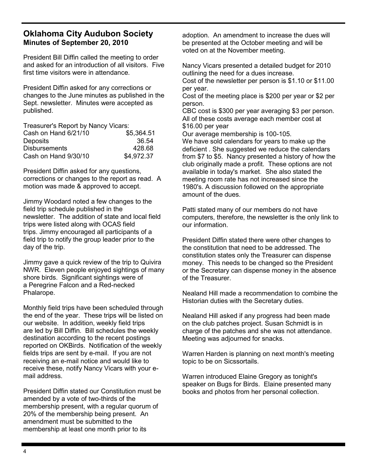### **Oklahoma City Audubon Society Minutes of September 20, 2010**

President Bill Diffin called the meeting to order and asked for an introduction of all visitors. Five first time visitors were in attendance.

President Diffin asked for any corrections or changes to the June minutes as published in the Sept. newsletter. Minutes were accepted as published.

| Treasurer's Report by Nancy Vicars: |            |  |
|-------------------------------------|------------|--|
| Cash on Hand 6/21/10                | \$5,364.51 |  |
| <b>Deposits</b>                     | 36.54      |  |
| <b>Disbursements</b>                | 428.68     |  |
| Cash on Hand 9/30/10                | \$4.972.37 |  |

President Diffin asked for any questions, corrections or changes to the report as read. A motion was made & approved to accept.

Jimmy Woodard noted a few changes to the field trip schedule published in the newsletter. The addition of state and local field trips were listed along with OCAS field trips. Jimmy encouraged all participants of a field trip to notify the group leader prior to the day of the trip.

Jimmy gave a quick review of the trip to Quivira NWR. Eleven people enjoyed sightings of many shore birds. Significant sightings were of a Peregrine Falcon and a Red-necked Phalarope.

Monthly field trips have been scheduled through the end of the year. These trips will be listed on our website. In addition, weekly field trips are led by Bill Diffin. Bill schedules the weekly destination according to the recent postings reported on OKBirds. Notification of the weekly fields trips are sent by e-mail. If you are not receiving an e-mail notice and would like to receive these, notify Nancy Vicars with your email address.

President Diffin stated our Constitution must be amended by a vote of two-thirds of the membership present, with a regular quorum of 20% of the membership being present. An amendment must be submitted to the membership at least one month prior to its

adoption. An amendment to increase the dues will be presented at the October meeting and will be voted on at the November meeting.

Nancy Vicars presented a detailed budget for 2010 outlining the need for a dues increase.

Cost of the newsletter per person is \$1.10 or \$11.00 per year.

Cost of the meeting place is \$200 per year or \$2 per person.

CBC cost is \$300 per year averaging \$3 per person. All of these costs average each member cost at \$16.00 per year

Our average membership is 100-105.

We have sold calendars for years to make up the deficient . She suggested we reduce the calendars from \$7 to \$5. Nancy presented a history of how the club originally made a profit. These options are not available in today's market. She also stated the meeting room rate has not increased since the 1980's. A discussion followed on the appropriate amount of the dues.

Patti stated many of our members do not have computers, therefore, the newsletter is the only link to our information.

President Diffin stated there were other changes to the constitution that need to be addressed. The constitution states only the Treasurer can dispense money. This needs to be changed so the President or the Secretary can dispense money in the absence of the Treasurer.

Nealand Hill made a recommendation to combine the Historian duties with the Secretary duties.

Nealand Hill asked if any progress had been made on the club patches project. Susan Schmidt is in charge of the patches and she was not attendance. Meeting was adjourned for snacks.

Warren Harden is planning on next month's meeting topic to be on Sicssortails.

Warren introduced Elaine Gregory as tonight's speaker on Bugs for Birds. Elaine presented many books and photos from her personal collection.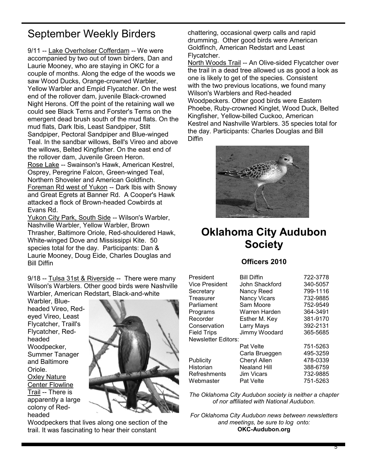# September Weekly Birders

9/11 -- Lake Overholser Cofferdam -- We were accompanied by two out of town birders, Dan and Laurie Mooney, who are staying in OKC for a couple of months. Along the edge of the woods we saw Wood Ducks, Orange-crowned Warbler, Yellow Warbler and Empid Flycatcher. On the west end of the rollover dam, juvenile Black-crowned Night Herons. Off the point of the retaining wall we could see Black Terns and Forster's Terns on the emergent dead brush south of the mud flats. On the mud flats, Dark Ibis, Least Sandpiper, Stilt Sandpiper, Pectoral Sandpiper and Blue-winged Teal. In the sandbar willows, Bell's Vireo and above the willows, Belted Kingfisher. On the east end of the rollover dam, Juvenile Green Heron. Rose Lake -- Swainson's Hawk, American Kestrel, Osprey, Peregrine Falcon, Green-winged Teal, Northern Shoveler and American Goldfinch. Foreman Rd west of Yukon -- Dark Ibis with Snowy and Great Egrets at Banner Rd. A Cooper's Hawk attacked a flock of Brown-headed Cowbirds at Evans Rd.

Yukon City Park, South Side -- Wilson's Warbler, Nashville Warbler, Yellow Warbler, Brown Thrasher, Baltimore Oriole, Red-shouldered Hawk, White-winged Dove and Mississippi Kite. 50 species total for the day. Participants: Dan & Laurie Mooney, Doug Eide, Charles Douglas and Bill Diffin

9/18 -- Tulsa 31st & Riverside -- There were many Wilson's Warblers. Other good birds were Nashville Warbler, American Redstart, Black-and-white

Warbler, Blueheaded Vireo, Redeyed Vireo, Least Flycatcher, Traill's Flycatcher, Redheaded Woodpecker, Summer Tanager and Baltimore Oriole. Oxley Nature Center Flowline Trail -- There is apparently a large colony of Redheaded



Woodpeckers that lives along one section of the trail. It was fascinating to hear their constant

chattering, occasional qwerp calls and rapid drumming. Other good birds were American Goldfinch, American Redstart and Least Flycatcher.

North Woods Trail -- An Olive-sided Flycatcher over the trail in a dead tree allowed us as good a look as one is likely to get of the species. Consistent with the two previous locations, we found many Wilson's Warblers and Red-headed Woodpeckers. Other good birds were Eastern Phoebe, Ruby-crowned Kinglet, Wood Duck, Belted Kingfisher, Yellow-billed Cuckoo, American Kestrel and Nashville Warblers. 35 species total for the day. Participants: Charles Douglas and Bill **Diffin** 



## **Oklahoma City Audubon Society**

### **Officers 2010**

| President           | <b>Bill Diffin</b>  | 722-3778 |
|---------------------|---------------------|----------|
| Vice President      | John Shackford      | 340-5057 |
| Secretary           | Nancy Reed          | 799-1116 |
| Treasurer           | <b>Nancy Vicars</b> | 732-9885 |
| Parliament          | Sam Moore           | 752-9549 |
| Programs            | Warren Harden       | 364-3491 |
| Recorder            | Esther M. Key       | 381-9170 |
| Conservation        | Larry Mays          | 392-2131 |
| Field Trips         | Jimmy Woodard       | 365-5685 |
| Newsletter Editors: |                     |          |
|                     | <b>Pat Velte</b>    | 751-5263 |
|                     | Carla Brueggen      | 495-3259 |
| Publicity           | Cheryl Allen        | 478-0339 |
| Historian           | <b>Nealand Hill</b> | 388-6759 |
| Refreshments        | <b>Jim Vicars</b>   | 732-9885 |
| Webmaster           | Pat Velte           | 751-5263 |

*The Oklahoma City Audubon society is neither a chapter of nor affiliated with National Audubon.*

*For Oklahoma City Audubon news between newsletters and meetings, be sure to log onto:* **OKC-Audubon.org**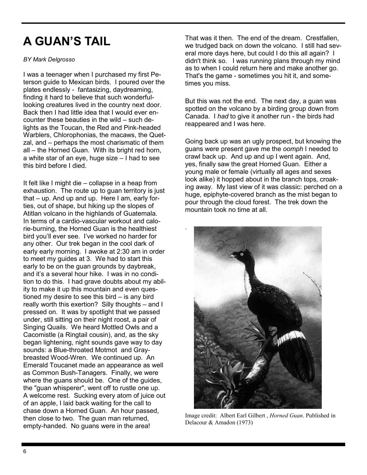# **A GUAN'S TAIL**

### *BY Mark Delgrosso*

I was a teenager when I purchased my first Peterson guide to Mexican birds. I poured over the plates endlessly - fantasizing, daydreaming, finding it hard to believe that such wonderfullooking creatures lived in the country next door. Back then I had little idea that I would ever encounter these beauties in the wild – such delights as the Toucan, the Red and Pink-headed Warblers, Chlorophonias, the macaws, the Quetzal, and – perhaps the most charismatic of them all – the Horned Guan. With its bright red horn, a white star of an eye, huge size – I had to see this bird before I died.

It felt like I might die – collapse in a heap from exhaustion. The route up to guan territory is just that – up. And up and up. Here I am, early forties, out of shape, but hiking up the slopes of Atitlan volcano in the highlands of Guatemala. In terms of a cardio-vascular workout and calorie-burning, the Horned Guan is the healthiest bird you'll ever see. I've worked no harder for any other. Our trek began in the cool dark of early early morning. I awoke at 2:30 am in order to meet my guides at 3. We had to start this early to be on the guan grounds by daybreak, and it's a several hour hike. I was in no condition to do this. I had grave doubts about my ability to make it up this mountain and even questioned my desire to see this bird – is any bird really worth this exertion? Silly thoughts – and I pressed on. It was by spotlight that we passed under, still sitting on their night roost, a pair of Singing Quails. We heard Mottled Owls and a Cacomistle (a Ringtail cousin), and, as the sky began lightening, night sounds gave way to day sounds: a Blue-throated Motmot and Graybreasted Wood-Wren. We continued up. An Emerald Toucanet made an appearance as well as Common Bush-Tanagers. Finally, we were where the guans should be. One of the guides, the "guan whisperer", went off to rustle one up. A welcome rest. Sucking every atom of juice out of an apple, I laid back waiting for the call to chase down a Horned Guan. An hour passed, then close to two. The guan man returned, empty-handed. No guans were in the area!

That was it then. The end of the dream. Crestfallen, we trudged back on down the volcano. I still had several more days here, but could I do this all again? I didn't think so. I was running plans through my mind as to when I could return here and make another go. That's the game - sometimes you hit it, and sometimes you miss.

But this was not the end. The next day, a guan was spotted on the volcano by a birding group down from Canada. I *had* to give it another run - the birds had reappeared and I was here.

Going back up was an ugly prospect, but knowing the guans were present gave me the *oomph* I needed to crawl back up. And up and up I went again. And, yes, finally saw the great Horned Guan. Either a young male or female (virtually all ages and sexes look alike) it hopped about in the branch tops, croaking away. My last view of it was classic: perched on a huge, epiphyte-covered branch as the mist began to pour through the cloud forest. The trek down the mountain took no time at all.



.

Image credit: Albert Earl Gilbert , *Horned Guan*. Published in Delacour & Amadon (1973)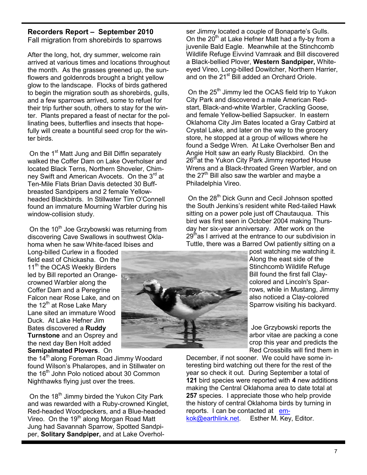### **Recorders Report – September 2010**

Fall migration from shorebirds to sparrows

After the long, hot, dry summer, welcome rain arrived at various times and locations throughout the month. As the grasses greened up, the sunflowers and goldenrods brought a bright yellow glow to the landscape. Flocks of birds gathered to begin the migration south as shorebirds, gulls, and a few sparrows arrived, some to refuel for their trip further south, others to stay for the winter. Plants prepared a feast of nectar for the pollinating bees, butterflies and insects that hopefully will create a bountiful seed crop for the winter birds.

On the 1<sup>st</sup> Matt Jung and Bill Diffin separately walked the Coffer Dam on Lake Overholser and located Black Terns, Northern Shoveler, Chimney Swift and American Avocets. On the 3<sup>rd</sup> at Ten-Mile Flats Brian Davis detected 30 Buffbreasted Sandpipers and 2 female Yellowheaded Blackbirds. In Stillwater Tim O'Connell found an immature Mourning Warbler during his window-collision study.

On the 10<sup>th</sup> Joe Grzybowski was returning from discovering Cave Swallows in southwest Oklahoma when he saw White-faced Ibises and

Long-billed Curlew in a flooded field east of Chickasha. On the 11<sup>th</sup> the OCAS Weekly Birders led by Bill reported an Orangecrowned Warbler along the Coffer Dam and a Peregrine Falcon near Rose Lake, and on the  $12<sup>th</sup>$  at Rose Lake Mary Lane sited an immature Wood Duck. At Lake Hefner Jim Bates discovered a **Ruddy Turnstone** and an Osprey and the next day Ben Holt added **Semipalmated Plovers**. On

the 14<sup>th</sup> along Foreman Road Jimmy Woodard found Wilson's Phalaropes, and in Stillwater on the 16<sup>th</sup> John Polo noticed about 30 Common Nighthawks flying just over the trees.

On the 18<sup>th</sup> Jimmy birded the Yukon City Park and was rewarded with a Ruby-crowned Kinglet, Red-headed Woodpeckers, and a Blue-headed Vireo. On the  $19<sup>th</sup>$  along Morgan Road Matt Jung had Savannah Sparrow, Spotted Sandpiper, **Solitary Sandpiper,** and at Lake Overhol-

ser Jimmy located a couple of Bonaparte's Gulls. On the  $20^{th}$  at Lake Hefner Matt had a fly-by from a juvenile Bald Eagle. Meanwhile at the Stinchcomb Wildlife Refuge Eivvind Vamraak and Bill discovered a Black-bellied Plover, **Western Sandpiper,** Whiteeyed Vireo, Long-billed Dowitcher, Northern Harrier, and on the 21<sup>st</sup> Bill added an Orchard Oriole.

On the 25<sup>th</sup> Jimmy led the OCAS field trip to Yukon City Park and discovered a male American Redstart, Black-and-white Warbler, Crackling Goose, and female Yellow-bellied Sapsucker. In eastern Oklahoma City Jim Bates located a Gray Catbird at Crystal Lake, and later on the way to the grocery store, he stopped at a group of willows where he found a Sedge Wren. At Lake Overholser Ben and Angie Holt saw an early Rusty Blackbird. On the 26<sup>th</sup>at the Yukon City Park Jimmy reported House Wrens and a Black-throated Green Warbler, and on the  $27<sup>th</sup>$  Bill also saw the warbler and maybe a Philadelphia Vireo.

On the 28<sup>th</sup> Dick Gunn and Cecil Johnson spotted the South Jenkins's resident white Red-tailed Hawk sitting on a power pole just off Chautauqua. This bird was first seen in October 2004 making Thursday her six-year anniversary. After work on the  $29<sup>th</sup>$  as I arrived at the entrance to our subdivision in Tuttle, there was a Barred Owl patiently sitting on a

> post watching me watching it. Along the east side of the Stinchcomb Wildlife Refuge Bill found the first fall Claycolored and Lincoln's Sparrows, while in Mustang, Jimmy also noticed a Clay-colored Sparrow visiting his backyard.

> Joe Grzybowski reports the arbor vitae are packing a cone crop this year and predicts the Red Crossbills will find them in

December, if not sooner. We could have some interesting bird watching out there for the rest of the year so check it out. During September a total of **121** bird species were reported with **4** new additions making the Central Oklahoma area to date total at **257** species. I appreciate those who help provide the history of central Oklahoma birds by turning in reports. I can be contacted at emkok@earthlink.net. Esther M. Key, Editor.